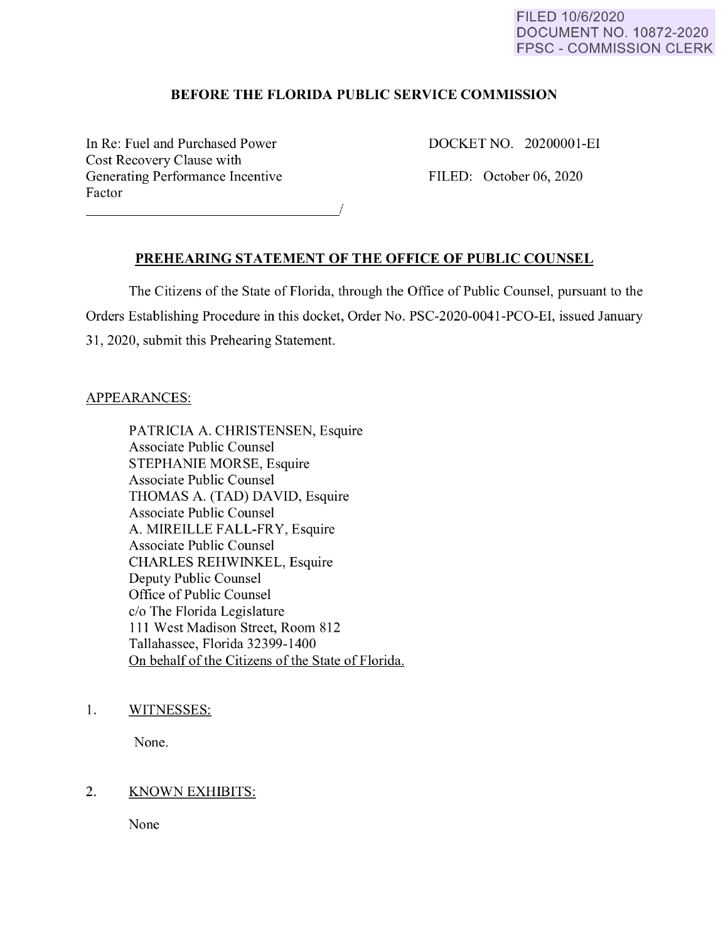#### FILED 10/6/2020 DOCUMENT NO. 10872-2020 FPSC - COMMISSION CLERK

## **BEFORE THE FLORIDA PUBLIC SERVICE COMMISSION**

In Re: Fuel and Purchased Power Cost Recovery Clause with Generating Performance Incentive Factor Factor  $\overline{\phantom{a}}$  DOCKET NO. 20200001-EI

FILED: October 06, 2020

### **PREHEARING STATEMENT OF THE OFFICE OF PUBLIC COUNSEL**

The Citizens of the State of Florida, through the Office of Public Counsel, pursuant to the Orders Establishing Procedure in this docket, Order No. PSC-2020-0041-PCO-EI, issued January 31, 2020, submit this Prehearing Statement.

### APPEARANCES:

PATRICIA A. CHRISTENSEN, Esquire Associate Public Counsel STEPHANIE MORSE, Esquire Associate Public Counsel THOMAS A. (TAD) DAVID, Esquire Associate Public Counsel A. MIREILLE FALL-FRY, Esquire Associate Public Counsel CHARLES REHWINKEL, Esquire Deputy Public Counsel Office of Public Counsel c/o The Florida Legislature 111 West Madison Street, Room 812 Tallahassee, Florida 32399-1400 On behalf of the Citizens of the State of Florida.

1. WITNESSES:

None.

### 2. KNOWN EXHIBITS:

None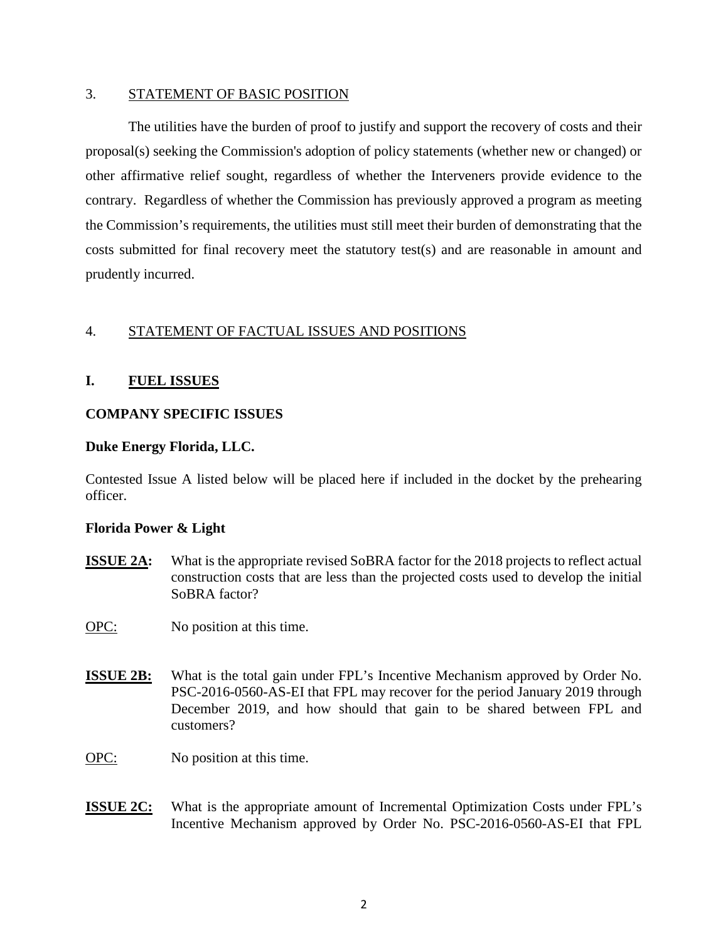#### 3. STATEMENT OF BASIC POSITION

The utilities have the burden of proof to justify and support the recovery of costs and their proposal(s) seeking the Commission's adoption of policy statements (whether new or changed) or other affirmative relief sought, regardless of whether the Interveners provide evidence to the contrary. Regardless of whether the Commission has previously approved a program as meeting the Commission's requirements, the utilities must still meet their burden of demonstrating that the costs submitted for final recovery meet the statutory test(s) and are reasonable in amount and prudently incurred.

## 4. STATEMENT OF FACTUAL ISSUES AND POSITIONS

## **I. FUEL ISSUES**

### **COMPANY SPECIFIC ISSUES**

#### **Duke Energy Florida, LLC.**

Contested Issue A listed below will be placed here if included in the docket by the prehearing officer.

### **Florida Power & Light**

**ISSUE 2A:** What is the appropriate revised SoBRA factor for the 2018 projects to reflect actual construction costs that are less than the projected costs used to develop the initial SoBRA factor?

OPC: No position at this time.

- **ISSUE 2B:** What is the total gain under FPL's Incentive Mechanism approved by Order No. PSC-2016-0560-AS-EI that FPL may recover for the period January 2019 through December 2019, and how should that gain to be shared between FPL and customers?
- OPC: No position at this time.
- **ISSUE 2C:** What is the appropriate amount of Incremental Optimization Costs under FPL's Incentive Mechanism approved by Order No. PSC-2016-0560-AS-EI that FPL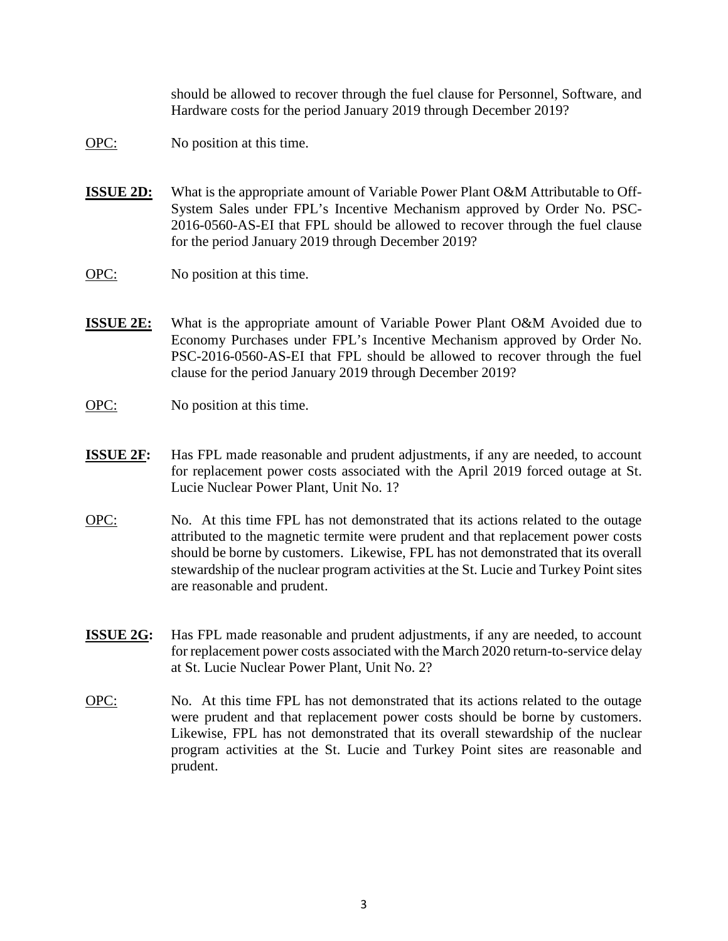should be allowed to recover through the fuel clause for Personnel, Software, and Hardware costs for the period January 2019 through December 2019?

- OPC: No position at this time.
- **ISSUE 2D:** What is the appropriate amount of Variable Power Plant O&M Attributable to Off-System Sales under FPL's Incentive Mechanism approved by Order No. PSC-2016-0560-AS-EI that FPL should be allowed to recover through the fuel clause for the period January 2019 through December 2019?
- OPC: No position at this time.
- **ISSUE 2E:** What is the appropriate amount of Variable Power Plant O&M Avoided due to Economy Purchases under FPL's Incentive Mechanism approved by Order No. PSC-2016-0560-AS-EI that FPL should be allowed to recover through the fuel clause for the period January 2019 through December 2019?
- OPC: No position at this time.
- **ISSUE 2F:** Has FPL made reasonable and prudent adjustments, if any are needed, to account for replacement power costs associated with the April 2019 forced outage at St. Lucie Nuclear Power Plant, Unit No. 1?
- OPC: No. At this time FPL has not demonstrated that its actions related to the outage attributed to the magnetic termite were prudent and that replacement power costs should be borne by customers. Likewise, FPL has not demonstrated that its overall stewardship of the nuclear program activities at the St. Lucie and Turkey Point sites are reasonable and prudent.
- **ISSUE 2G:** Has FPL made reasonable and prudent adjustments, if any are needed, to account for replacement power costs associated with the March 2020 return-to-service delay at St. Lucie Nuclear Power Plant, Unit No. 2?
- OPC: No. At this time FPL has not demonstrated that its actions related to the outage were prudent and that replacement power costs should be borne by customers. Likewise, FPL has not demonstrated that its overall stewardship of the nuclear program activities at the St. Lucie and Turkey Point sites are reasonable and prudent.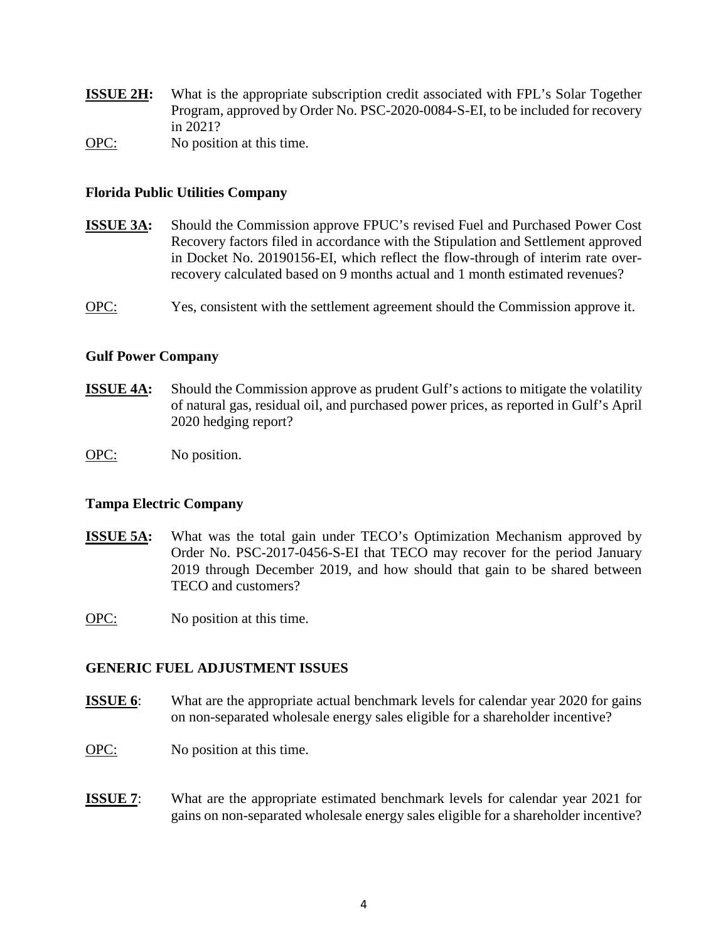**ISSUE 2H:** What is the appropriate subscription credit associated with FPL's Solar Together Program, approved by Order No. PSC-2020-0084-S-EI, to be included for recovery in 2021?

OPC: No position at this time.

### **Florida Public Utilities Company**

**ISSUE 3A:** Should the Commission approve FPUC's revised Fuel and Purchased Power Cost Recovery factors filed in accordance with the Stipulation and Settlement approved in Docket No. 20190156-EI, which reflect the flow-through of interim rate overrecovery calculated based on 9 months actual and 1 month estimated revenues?

OPC: Yes, consistent with the settlement agreement should the Commission approve it.

#### **Gulf Power Company**

- **ISSUE 4A:** Should the Commission approve as prudent Gulf's actions to mitigate the volatility of natural gas, residual oil, and purchased power prices, as reported in Gulf's April 2020 hedging report?
- OPC: No position.

### **Tampa Electric Company**

**ISSUE 5A:** What was the total gain under TECO's Optimization Mechanism approved by Order No. PSC-2017-0456-S-EI that TECO may recover for the period January 2019 through December 2019, and how should that gain to be shared between TECO and customers?

OPC: No position at this time.

### **GENERIC FUEL ADJUSTMENT ISSUES**

- **ISSUE 6**: What are the appropriate actual benchmark levels for calendar year 2020 for gains on non-separated wholesale energy sales eligible for a shareholder incentive?
- OPC: No position at this time.
- **ISSUE 7:** What are the appropriate estimated benchmark levels for calendar year 2021 for gains on non-separated wholesale energy sales eligible for a shareholder incentive?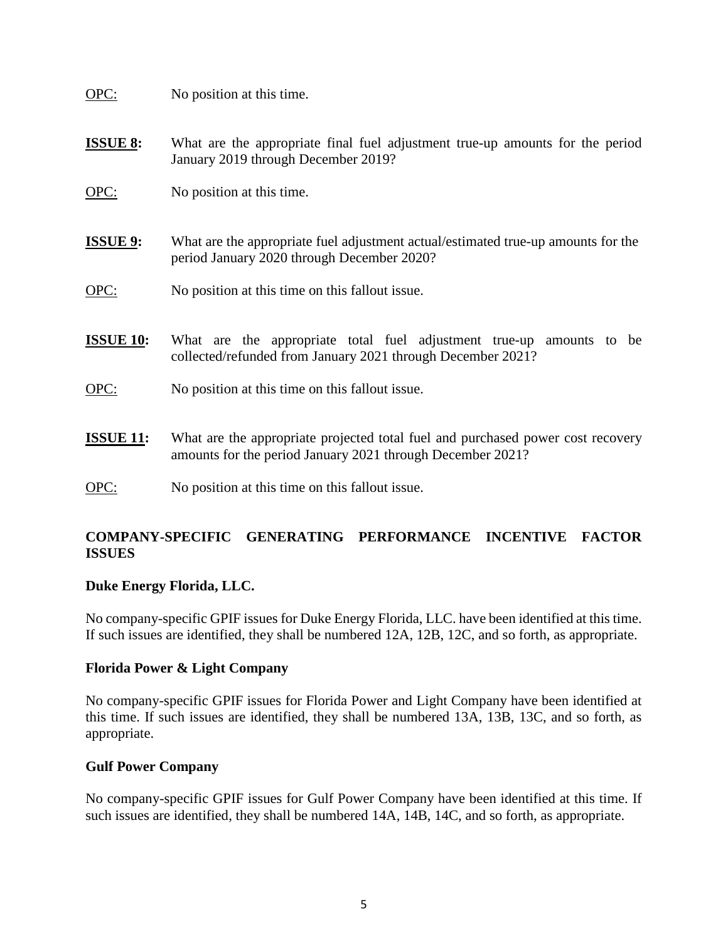OPC: No position at this time.

- **ISSUE 8:** What are the appropriate final fuel adjustment true-up amounts for the period January 2019 through December 2019?
- OPC: No position at this time.
- **ISSUE 9:** What are the appropriate fuel adjustment actual/estimated true-up amounts for the period January 2020 through December 2020?
- OPC: No position at this time on this fallout issue.
- **ISSUE 10:** What are the appropriate total fuel adjustment true-up amounts to be collected/refunded from January 2021 through December 2021?
- OPC: No position at this time on this fallout issue.
- **ISSUE 11:** What are the appropriate projected total fuel and purchased power cost recovery amounts for the period January 2021 through December 2021?
- OPC: No position at this time on this fallout issue.

# **COMPANY-SPECIFIC GENERATING PERFORMANCE INCENTIVE FACTOR ISSUES**

### **Duke Energy Florida, LLC.**

No company-specific GPIF issues for Duke Energy Florida, LLC. have been identified at this time. If such issues are identified, they shall be numbered 12A, 12B, 12C, and so forth, as appropriate.

#### **Florida Power & Light Company**

No company-specific GPIF issues for Florida Power and Light Company have been identified at this time. If such issues are identified, they shall be numbered 13A, 13B, 13C, and so forth, as appropriate.

### **Gulf Power Company**

No company-specific GPIF issues for Gulf Power Company have been identified at this time. If such issues are identified, they shall be numbered 14A, 14B, 14C, and so forth, as appropriate.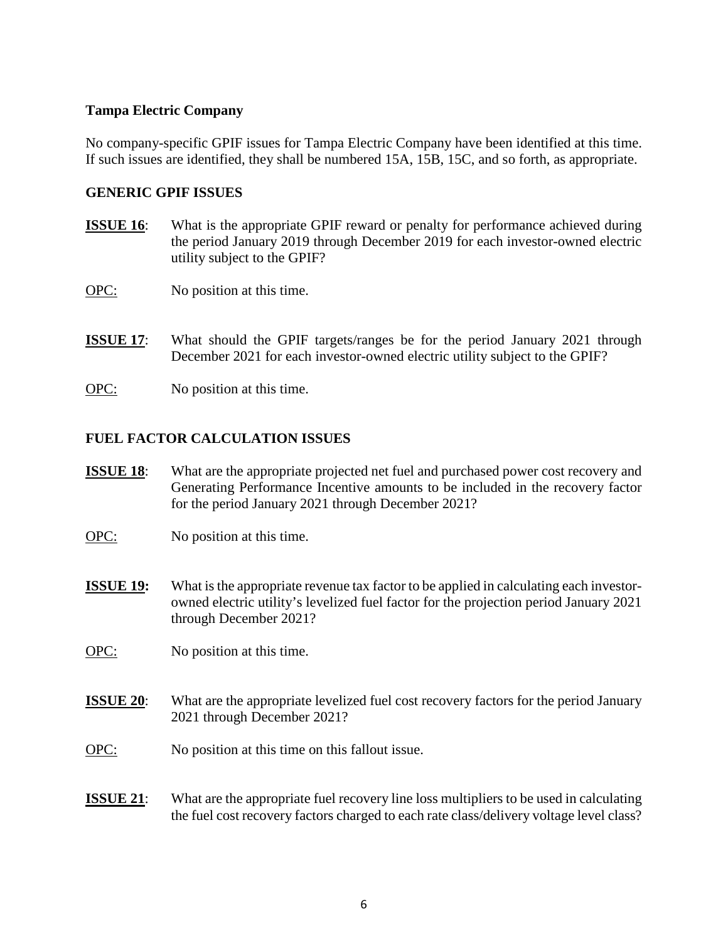### **Tampa Electric Company**

No company-specific GPIF issues for Tampa Electric Company have been identified at this time. If such issues are identified, they shall be numbered 15A, 15B, 15C, and so forth, as appropriate.

## **GENERIC GPIF ISSUES**

- **ISSUE 16**: What is the appropriate GPIF reward or penalty for performance achieved during the period January 2019 through December 2019 for each investor-owned electric utility subject to the GPIF?
- OPC: No position at this time.
- **ISSUE 17:** What should the GPIF targets/ranges be for the period January 2021 through December 2021 for each investor-owned electric utility subject to the GPIF?
- OPC: No position at this time.

# **FUEL FACTOR CALCULATION ISSUES**

- **ISSUE 18:** What are the appropriate projected net fuel and purchased power cost recovery and Generating Performance Incentive amounts to be included in the recovery factor for the period January 2021 through December 2021?
- OPC: No position at this time.
- **ISSUE 19:** What is the appropriate revenue tax factor to be applied in calculating each investorowned electric utility's levelized fuel factor for the projection period January 2021 through December 2021?
- OPC: No position at this time.
- **ISSUE 20:** What are the appropriate levelized fuel cost recovery factors for the period January 2021 through December 2021?
- OPC: No position at this time on this fallout issue.
- **ISSUE 21:** What are the appropriate fuel recovery line loss multipliers to be used in calculating the fuel cost recovery factors charged to each rate class/delivery voltage level class?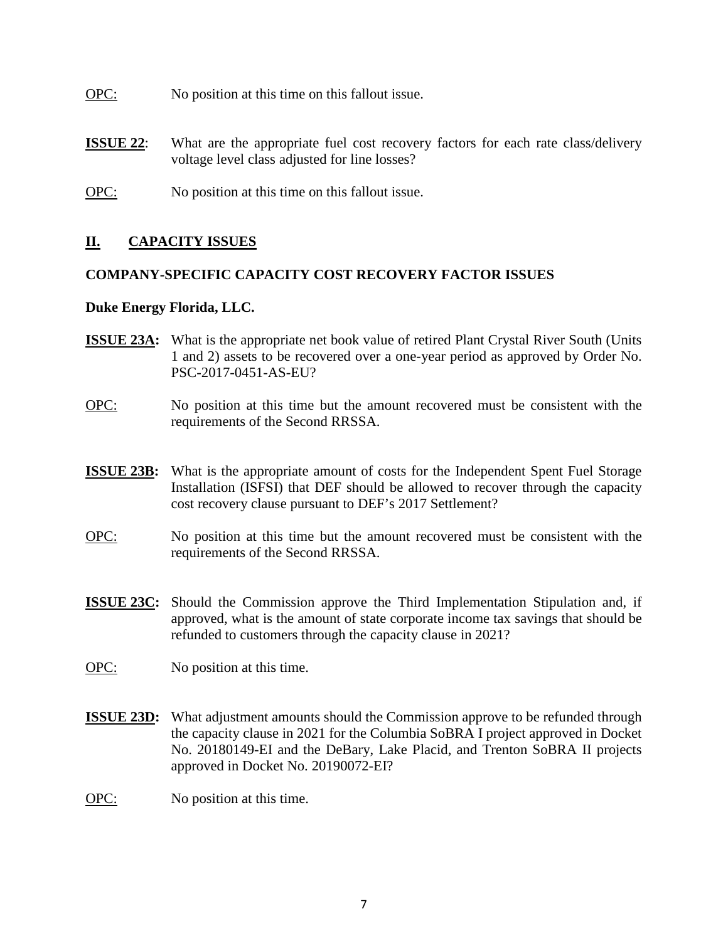- OPC: No position at this time on this fallout issue.
- **ISSUE 22:** What are the appropriate fuel cost recovery factors for each rate class/delivery voltage level class adjusted for line losses?
- OPC: No position at this time on this fallout issue.

# **II. CAPACITY ISSUES**

# **COMPANY-SPECIFIC CAPACITY COST RECOVERY FACTOR ISSUES**

### **Duke Energy Florida, LLC.**

- **ISSUE 23A:** What is the appropriate net book value of retired Plant Crystal River South (Units 1 and 2) assets to be recovered over a one-year period as approved by Order No. PSC-2017-0451-AS-EU?
- OPC: No position at this time but the amount recovered must be consistent with the requirements of the Second RRSSA.
- **ISSUE 23B:** What is the appropriate amount of costs for the Independent Spent Fuel Storage Installation (ISFSI) that DEF should be allowed to recover through the capacity cost recovery clause pursuant to DEF's 2017 Settlement?
- OPC: No position at this time but the amount recovered must be consistent with the requirements of the Second RRSSA.
- **ISSUE 23C:** Should the Commission approve the Third Implementation Stipulation and, if approved, what is the amount of state corporate income tax savings that should be refunded to customers through the capacity clause in 2021?
- OPC: No position at this time.
- **ISSUE 23D:** What adjustment amounts should the Commission approve to be refunded through the capacity clause in 2021 for the Columbia SoBRA I project approved in Docket No. 20180149-EI and the DeBary, Lake Placid, and Trenton SoBRA II projects approved in Docket No. 20190072-EI?
- OPC: No position at this time.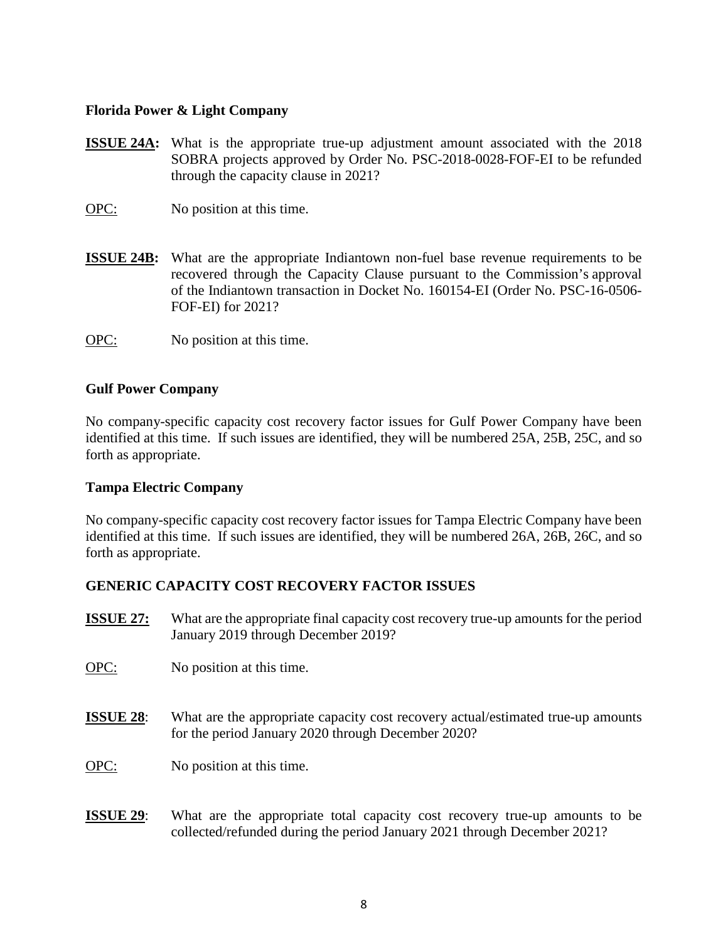### **Florida Power & Light Company**

- **ISSUE 24A:** What is the appropriate true-up adjustment amount associated with the 2018 SOBRA projects approved by Order No. PSC-2018-0028-FOF-EI to be refunded through the capacity clause in 2021?
- OPC: No position at this time.
- **ISSUE 24B:** What are the appropriate Indiantown non-fuel base revenue requirements to be recovered through the Capacity Clause pursuant to the Commission's approval of the Indiantown transaction in Docket No. 160154-EI (Order No. PSC-16-0506- FOF-EI) for 2021?
- OPC: No position at this time.

### **Gulf Power Company**

No company-specific capacity cost recovery factor issues for Gulf Power Company have been identified at this time. If such issues are identified, they will be numbered 25A, 25B, 25C, and so forth as appropriate.

### **Tampa Electric Company**

No company-specific capacity cost recovery factor issues for Tampa Electric Company have been identified at this time. If such issues are identified, they will be numbered 26A, 26B, 26C, and so forth as appropriate.

# **GENERIC CAPACITY COST RECOVERY FACTOR ISSUES**

- **ISSUE 27:** What are the appropriate final capacity cost recovery true-up amounts for the period January 2019 through December 2019?
- OPC: No position at this time.
- **ISSUE 28**: What are the appropriate capacity cost recovery actual/estimated true-up amounts for the period January 2020 through December 2020?
- OPC: No position at this time.
- **ISSUE 29**: What are the appropriate total capacity cost recovery true-up amounts to be collected/refunded during the period January 2021 through December 2021?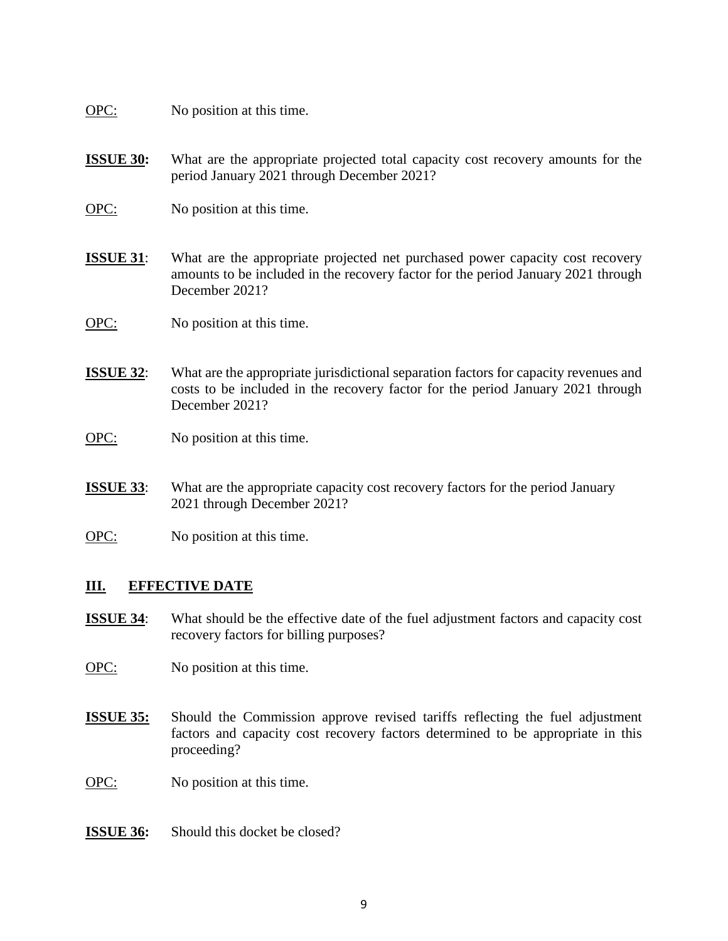OPC: No position at this time.

- **ISSUE 30:** What are the appropriate projected total capacity cost recovery amounts for the period January 2021 through December 2021?
- OPC: No position at this time.
- **ISSUE 31**: What are the appropriate projected net purchased power capacity cost recovery amounts to be included in the recovery factor for the period January 2021 through December 2021?
- OPC: No position at this time.
- **ISSUE 32:** What are the appropriate jurisdictional separation factors for capacity revenues and costs to be included in the recovery factor for the period January 2021 through December 2021?
- OPC: No position at this time.
- **ISSUE 33**: What are the appropriate capacity cost recovery factors for the period January 2021 through December 2021?
- OPC: No position at this time.

### **III. EFFECTIVE DATE**

- **ISSUE 34:** What should be the effective date of the fuel adjustment factors and capacity cost recovery factors for billing purposes?
- OPC: No position at this time.
- **ISSUE 35:** Should the Commission approve revised tariffs reflecting the fuel adjustment factors and capacity cost recovery factors determined to be appropriate in this proceeding?
- OPC: No position at this time.
- **ISSUE 36:** Should this docket be closed?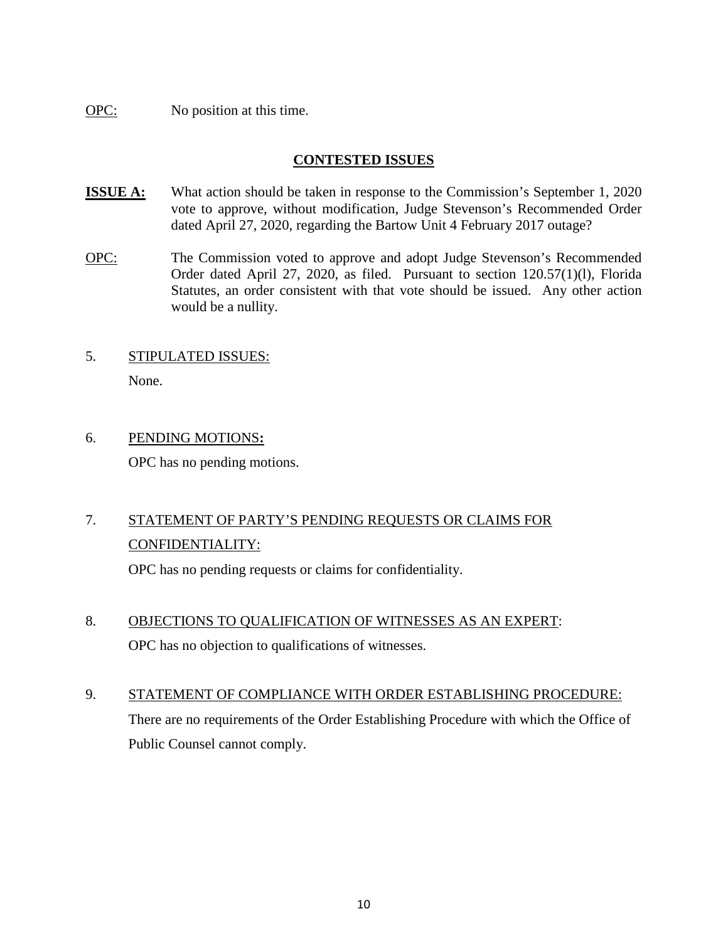OPC: No position at this time.

# **CONTESTED ISSUES**

- **ISSUE A:** What action should be taken in response to the Commission's September 1, 2020 vote to approve, without modification, Judge Stevenson's Recommended Order dated April 27, 2020, regarding the Bartow Unit 4 February 2017 outage?
- OPC: The Commission voted to approve and adopt Judge Stevenson's Recommended Order dated April 27, 2020, as filed. Pursuant to section 120.57(1)(l), Florida Statutes, an order consistent with that vote should be issued. Any other action would be a nullity.
- 5. STIPULATED ISSUES:

None.

6. PENDING MOTIONS**:**  OPC has no pending motions.

# 7. STATEMENT OF PARTY'S PENDING REQUESTS OR CLAIMS FOR CONFIDENTIALITY:

OPC has no pending requests or claims for confidentiality.

8. OBJECTIONS TO QUALIFICATION OF WITNESSES AS AN EXPERT:

OPC has no objection to qualifications of witnesses.

9. STATEMENT OF COMPLIANCE WITH ORDER ESTABLISHING PROCEDURE: There are no requirements of the Order Establishing Procedure with which the Office of Public Counsel cannot comply.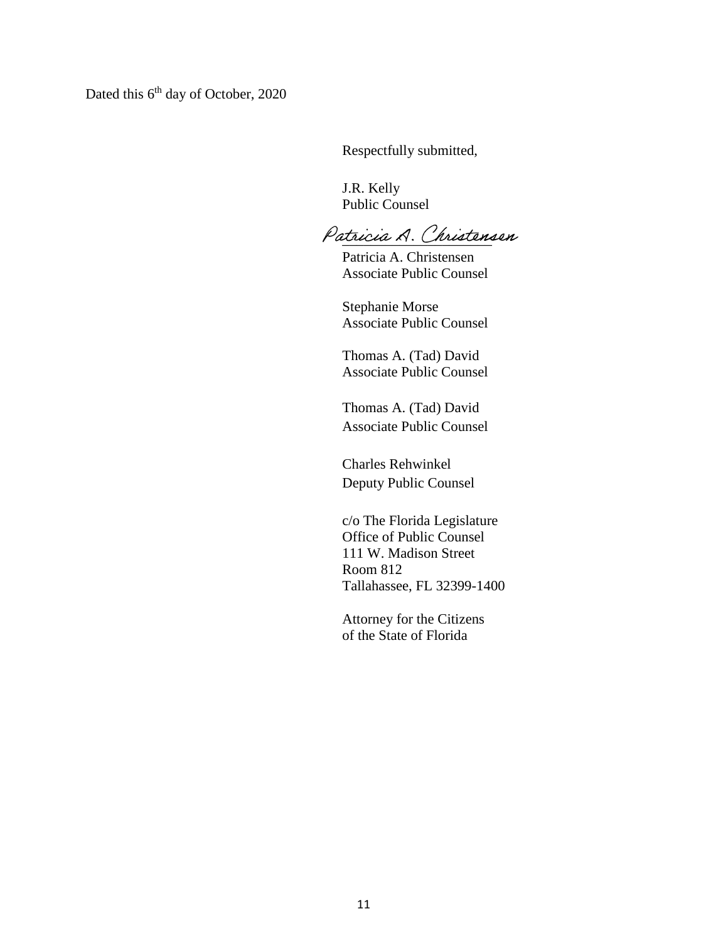Dated this 6<sup>th</sup> day of October, 2020

Respectfully submitted,

 J.R. Kelly Public Counsel

Patricia A. Christensen

 Patricia A. Christensen Associate Public Counsel

 Stephanie Morse Associate Public Counsel

 Thomas A. (Tad) David Associate Public Counsel

 Thomas A. (Tad) David Associate Public Counsel

Charles Rehwinkel Deputy Public Counsel

c/o The Florida Legislature Office of Public Counsel 111 W. Madison Street Room 812 Tallahassee, FL 32399-1400

Attorney for the Citizens of the State of Florida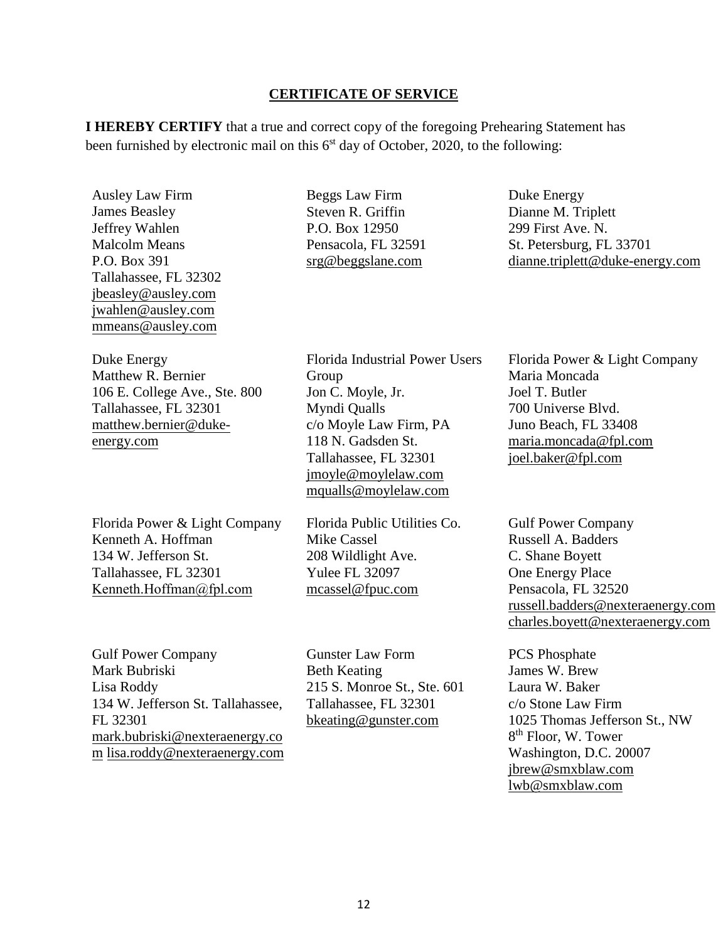#### **CERTIFICATE OF SERVICE**

**I HEREBY CERTIFY** that a true and correct copy of the foregoing Prehearing Statement has been furnished by electronic mail on this  $6<sup>st</sup>$  day of October, 2020, to the following:

Ausley Law Firm James Beasley Jeffrey Wahlen Malcolm Means P.O. Box 391 Tallahassee, FL 32302 jbeasley@ausley.com jwahlen@ausley.com mmeans@ausley.com

Duke Energy Matthew R. Bernier 106 E. College Ave., Ste. 800 Tallahassee, FL 32301 matthew.bernier@dukeenergy.com

Florida Power & Light Company Kenneth A. Hoffman 134 W. Jefferson St. Tallahassee, FL 32301 [Kenneth.Hoffman@fpl.](mailto:ken.hoffman@fpl.com)com

Gulf Power Company Mark Bubriski Lisa Roddy 134 W. Jefferson St. Tallahassee, FL 32301 mark.bubriski@nexteraenergy.co m lisa.roddy@nexteraenergy.com Beggs Law Firm Steven R. Griffin P.O. Box 12950 Pensacola, FL 32591 srg@beggslane.com

Florida Industrial Power Users Group Jon C. Moyle, Jr. Myndi Qualls c/o Moyle Law Firm, PA 118 N. Gadsden St. Tallahassee, FL 32301 jmoyle@moylelaw.com mqualls@moylelaw.com

Florida Public Utilities Co. Mike Cassel 208 Wildlight Ave. Yulee FL 32097 mcassel@fpuc.com

Gunster Law Form Beth Keating 215 S. Monroe St., Ste. 601 Tallahassee, FL 32301 [bkeating@gunster.com](mailto:bkeating@gunster.com)

Duke Energy Dianne M. Triplett 299 First Ave. N. St. Petersburg, FL 33701 dianne.triplett@duke-energy.com

Florida Power & Light Company Maria Moncada Joel T. Butler 700 Universe Blvd. Juno Beach, FL 33408 maria.moncada@fpl.com joel.baker@fpl.com

Gulf Power Company Russell A. Badders C. Shane Boyett One Energy Place Pensacola, FL 32520 russell.badders@nexteraenergy.com charles.boyett@nexteraenergy.com

PCS Phosphate James W. Brew Laura W. Baker c/o Stone Law Firm 1025 Thomas Jefferson St., NW 8th Floor, W. Tower Washington, D.C. 20007 jbrew@smxblaw.com lwb@smxblaw.com